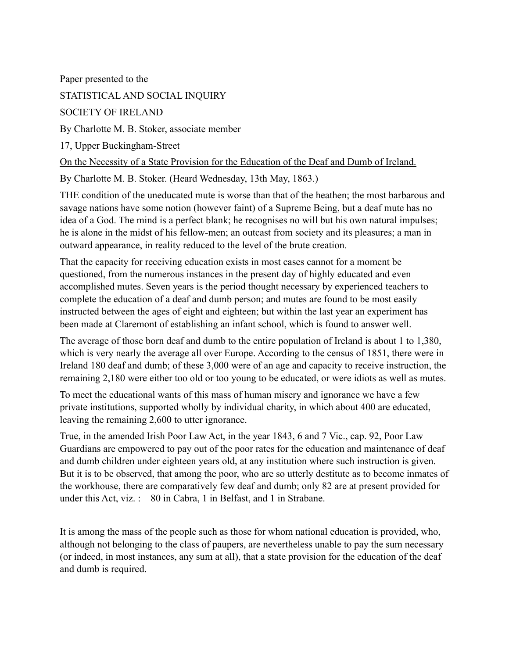Paper presented to the STATISTICAL AND SOCIAL INQUIRY SOCIETY OF IRELAND By Charlotte M. B. Stoker, associate member 17, Upper Buckingham-Street On the Necessity of a State Provision for the Education of the Deaf and Dumb of Ireland. By Charlotte M. B. Stoker. (Heard Wednesday, 13th May, 1863.)

THE condition of the uneducated mute is worse than that of the heathen; the most barbarous and savage nations have some notion (however faint) of a Supreme Being, but a deaf mute has no idea of a God. The mind is a perfect blank; he recognises no will but his own natural impulses; he is alone in the midst of his fellow-men; an outcast from society and its pleasures; a man in outward appearance, in reality reduced to the level of the brute creation.

That the capacity for receiving education exists in most cases cannot for a moment be questioned, from the numerous instances in the present day of highly educated and even accomplished mutes. Seven years is the period thought necessary by experienced teachers to complete the education of a deaf and dumb person; and mutes are found to be most easily instructed between the ages of eight and eighteen; but within the last year an experiment has been made at Claremont of establishing an infant school, which is found to answer well.

The average of those born deaf and dumb to the entire population of Ireland is about 1 to 1,380, which is very nearly the average all over Europe. According to the census of 1851, there were in Ireland 180 deaf and dumb; of these 3,000 were of an age and capacity to receive instruction, the remaining 2,180 were either too old or too young to be educated, or were idiots as well as mutes.

To meet the educational wants of this mass of human misery and ignorance we have a few private institutions, supported wholly by individual charity, in which about 400 are educated, leaving the remaining 2,600 to utter ignorance.

True, in the amended Irish Poor Law Act, in the year 1843, 6 and 7 Vic., cap. 92, Poor Law Guardians are empowered to pay out of the poor rates for the education and maintenance of deaf and dumb children under eighteen years old, at any institution where such instruction is given. But it is to be observed, that among the poor, who are so utterly destitute as to become inmates of the workhouse, there are comparatively few deaf and dumb; only 82 are at present provided for under this Act, viz. :—80 in Cabra, 1 in Belfast, and 1 in Strabane.

It is among the mass of the people such as those for whom national education is provided, who, although not belonging to the class of paupers, are nevertheless unable to pay the sum necessary (or indeed, in most instances, any sum at all), that a state provision for the education of the deaf and dumb is required.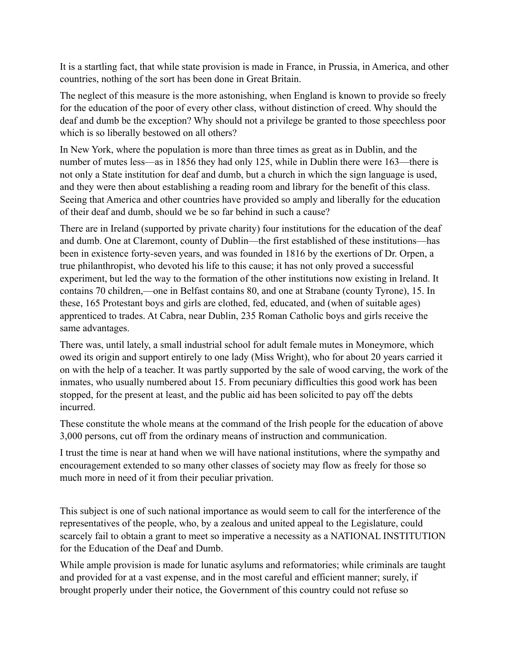It is a startling fact, that while state provision is made in France, in Prussia, in America, and other countries, nothing of the sort has been done in Great Britain.

The neglect of this measure is the more astonishing, when England is known to provide so freely for the education of the poor of every other class, without distinction of creed. Why should the deaf and dumb be the exception? Why should not a privilege be granted to those speechless poor which is so liberally bestowed on all others?

In New York, where the population is more than three times as great as in Dublin, and the number of mutes less—as in 1856 they had only 125, while in Dublin there were 163—there is not only a State institution for deaf and dumb, but a church in which the sign language is used, and they were then about establishing a reading room and library for the benefit of this class. Seeing that America and other countries have provided so amply and liberally for the education of their deaf and dumb, should we be so far behind in such a cause?

There are in Ireland (supported by private charity) four institutions for the education of the deaf and dumb. One at Claremont, county of Dublin—the first established of these institutions—has been in existence forty-seven years, and was founded in 1816 by the exertions of Dr. Orpen, a true philanthropist, who devoted his life to this cause; it has not only proved a successful experiment, but led the way to the formation of the other institutions now existing in Ireland. It contains 70 children,—one in Belfast contains 80, and one at Strabane (county Tyrone), 15. In these, 165 Protestant boys and girls are clothed, fed, educated, and (when of suitable ages) apprenticed to trades. At Cabra, near Dublin, 235 Roman Catholic boys and girls receive the same advantages.

There was, until lately, a small industrial school for adult female mutes in Moneymore, which owed its origin and support entirely to one lady (Miss Wright), who for about 20 years carried it on with the help of a teacher. It was partly supported by the sale of wood carving, the work of the inmates, who usually numbered about 15. From pecuniary difficulties this good work has been stopped, for the present at least, and the public aid has been solicited to pay off the debts incurred.

These constitute the whole means at the command of the Irish people for the education of above 3,000 persons, cut off from the ordinary means of instruction and communication.

I trust the time is near at hand when we will have national institutions, where the sympathy and encouragement extended to so many other classes of society may flow as freely for those so much more in need of it from their peculiar privation.

This subject is one of such national importance as would seem to call for the interference of the representatives of the people, who, by a zealous and united appeal to the Legislature, could scarcely fail to obtain a grant to meet so imperative a necessity as a NATIONAL INSTITUTION for the Education of the Deaf and Dumb.

While ample provision is made for lunatic asylums and reformatories; while criminals are taught and provided for at a vast expense, and in the most careful and efficient manner; surely, if brought properly under their notice, the Government of this country could not refuse so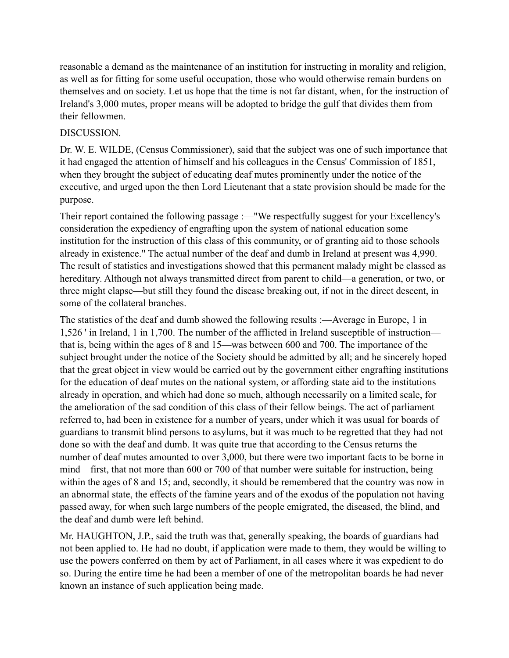reasonable a demand as the maintenance of an institution for instructing in morality and religion, as well as for fitting for some useful occupation, those who would otherwise remain burdens on themselves and on society. Let us hope that the time is not far distant, when, for the instruction of Ireland's 3,000 mutes, proper means will be adopted to bridge the gulf that divides them from their fellowmen.

## DISCUSSION.

Dr. W. E. WILDE, (Census Commissioner), said that the subject was one of such importance that it had engaged the attention of himself and his colleagues in the Census' Commission of 1851, when they brought the subject of educating deaf mutes prominently under the notice of the executive, and urged upon the then Lord Lieutenant that a state provision should be made for the purpose.

Their report contained the following passage :—"We respectfully suggest for your Excellency's consideration the expediency of engrafting upon the system of national education some institution for the instruction of this class of this community, or of granting aid to those schools already in existence." The actual number of the deaf and dumb in Ireland at present was 4,990. The result of statistics and investigations showed that this permanent malady might be classed as hereditary. Although not always transmitted direct from parent to child—a generation, or two, or three might elapse—but still they found the disease breaking out, if not in the direct descent, in some of the collateral branches.

The statistics of the deaf and dumb showed the following results :—Average in Europe, 1 in 1,526 ' in Ireland, 1 in 1,700. The number of the afflicted in Ireland susceptible of instruction that is, being within the ages of 8 and 15—was between 600 and 700. The importance of the subject brought under the notice of the Society should be admitted by all; and he sincerely hoped that the great object in view would be carried out by the government either engrafting institutions for the education of deaf mutes on the national system, or affording state aid to the institutions already in operation, and which had done so much, although necessarily on a limited scale, for the amelioration of the sad condition of this class of their fellow beings. The act of parliament referred to, had been in existence for a number of years, under which it was usual for boards of guardians to transmit blind persons to asylums, but it was much to be regretted that they had not done so with the deaf and dumb. It was quite true that according to the Census returns the number of deaf mutes amounted to over 3,000, but there were two important facts to be borne in mind—first, that not more than 600 or 700 of that number were suitable for instruction, being within the ages of 8 and 15; and, secondly, it should be remembered that the country was now in an abnormal state, the effects of the famine years and of the exodus of the population not having passed away, for when such large numbers of the people emigrated, the diseased, the blind, and the deaf and dumb were left behind.

Mr. HAUGHTON, J.P., said the truth was that, generally speaking, the boards of guardians had not been applied to. He had no doubt, if application were made to them, they would be willing to use the powers conferred on them by act of Parliament, in all cases where it was expedient to do so. During the entire time he had been a member of one of the metropolitan boards he had never known an instance of such application being made.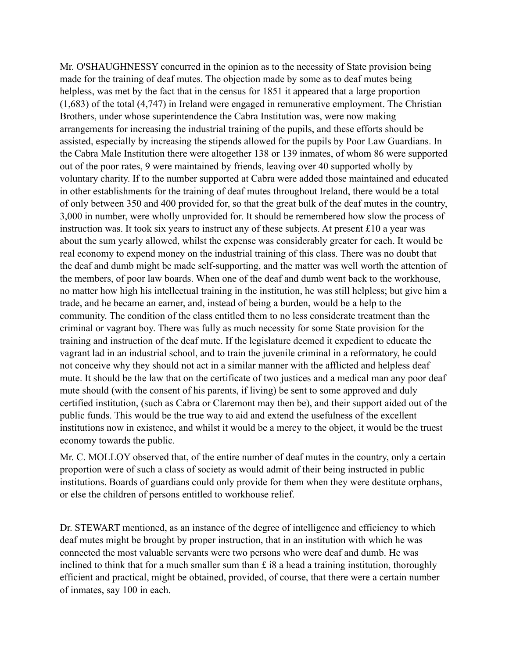Mr. O'SHAUGHNESSY concurred in the opinion as to the necessity of State provision being made for the training of deaf mutes. The objection made by some as to deaf mutes being helpless, was met by the fact that in the census for 1851 it appeared that a large proportion (1,683) of the total (4,747) in Ireland were engaged in remunerative employment. The Christian Brothers, under whose superintendence the Cabra Institution was, were now making arrangements for increasing the industrial training of the pupils, and these efforts should be assisted, especially by increasing the stipends allowed for the pupils by Poor Law Guardians. In the Cabra Male Institution there were altogether 138 or 139 inmates, of whom 86 were supported out of the poor rates, 9 were maintained by friends, leaving over 40 supported wholly by voluntary charity. If to the number supported at Cabra were added those maintained and educated in other establishments for the training of deaf mutes throughout Ireland, there would be a total of only between 350 and 400 provided for, so that the great bulk of the deaf mutes in the country, 3,000 in number, were wholly unprovided for. It should be remembered how slow the process of instruction was. It took six years to instruct any of these subjects. At present £10 a year was about the sum yearly allowed, whilst the expense was considerably greater for each. It would be real economy to expend money on the industrial training of this class. There was no doubt that the deaf and dumb might be made self-supporting, and the matter was well worth the attention of the members, of poor law boards. When one of the deaf and dumb went back to the workhouse, no matter how high his intellectual training in the institution, he was still helpless; but give him a trade, and he became an earner, and, instead of being a burden, would be a help to the community. The condition of the class entitled them to no less considerate treatment than the criminal or vagrant boy. There was fully as much necessity for some State provision for the training and instruction of the deaf mute. If the legislature deemed it expedient to educate the vagrant lad in an industrial school, and to train the juvenile criminal in a reformatory, he could not conceive why they should not act in a similar manner with the afflicted and helpless deaf mute. It should be the law that on the certificate of two justices and a medical man any poor deaf mute should (with the consent of his parents, if living) be sent to some approved and duly certified institution, (such as Cabra or Claremont may then be), and their support aided out of the public funds. This would be the true way to aid and extend the usefulness of the excellent institutions now in existence, and whilst it would be a mercy to the object, it would be the truest economy towards the public.

Mr. C. MOLLOY observed that, of the entire number of deaf mutes in the country, only a certain proportion were of such a class of society as would admit of their being instructed in public institutions. Boards of guardians could only provide for them when they were destitute orphans, or else the children of persons entitled to workhouse relief.

Dr. STEWART mentioned, as an instance of the degree of intelligence and efficiency to which deaf mutes might be brought by proper instruction, that in an institution with which he was connected the most valuable servants were two persons who were deaf and dumb. He was inclined to think that for a much smaller sum than  $\hat{z}$  is a head a training institution, thoroughly efficient and practical, might be obtained, provided, of course, that there were a certain number of inmates, say 100 in each.